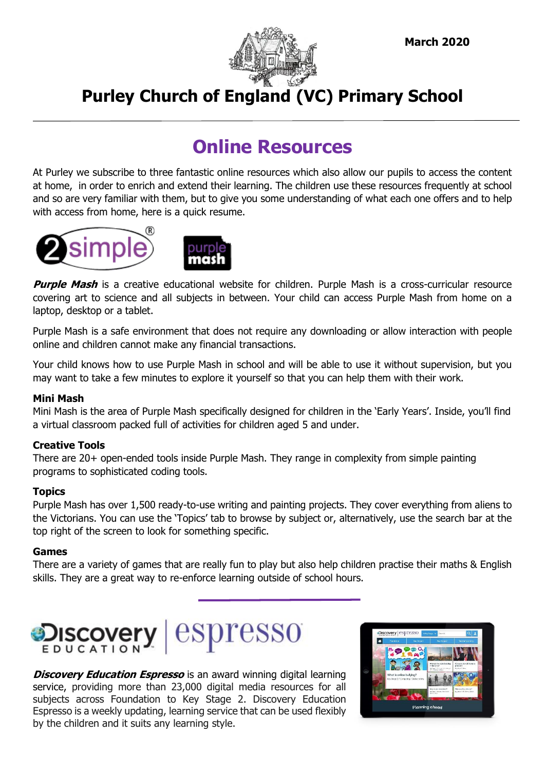

# **Purley Church of England (VC) Primary School**

# **Online Resources**

At Purley we subscribe to three fantastic online resources which also allow our pupils to access the content at home, in order to enrich and extend their learning. The children use these resources frequently at school and so are very familiar with them, but to give you some understanding of what each one offers and to help with access from home, here is a quick resume.





**Purple Mash** is a creative educational website for children. Purple Mash is a cross-curricular resource covering art to science and all subjects in between. Your child can access Purple Mash from home on a laptop, desktop or a tablet.

Purple Mash is a safe environment that does not require any downloading or allow interaction with people online and children cannot make any financial transactions.

Your child knows how to use Purple Mash in school and will be able to use it without supervision, but you may want to take a few minutes to explore it yourself so that you can help them with their work.

#### **Mini Mash**

Mini Mash is the area of Purple Mash specifically designed for children in the 'Early Years'. Inside, you'll find a virtual classroom packed full of activities for children aged 5 and under.

#### **Creative Tools**

There are 20+ open-ended tools inside Purple Mash. They range in complexity from simple painting programs to sophisticated coding tools.

#### **Topics**

Purple Mash has over 1,500 ready-to-use writing and painting projects. They cover everything from aliens to the Victorians. You can use the 'Topics' tab to browse by subject or, alternatively, use the search bar at the top right of the screen to look for something specific.

#### **Games**

There are a variety of games that are really fun to play but also help children practise their maths & English skills. They are a great way to re-enforce learning outside of school hours.



**Discovery Education Espresso** is an award winning digital learning service, providing more than 23,000 digital media resources for all subjects across Foundation to Key Stage 2. Discovery Education Espresso is a weekly updating, learning service that can be used flexibly by the children and it suits any learning style.

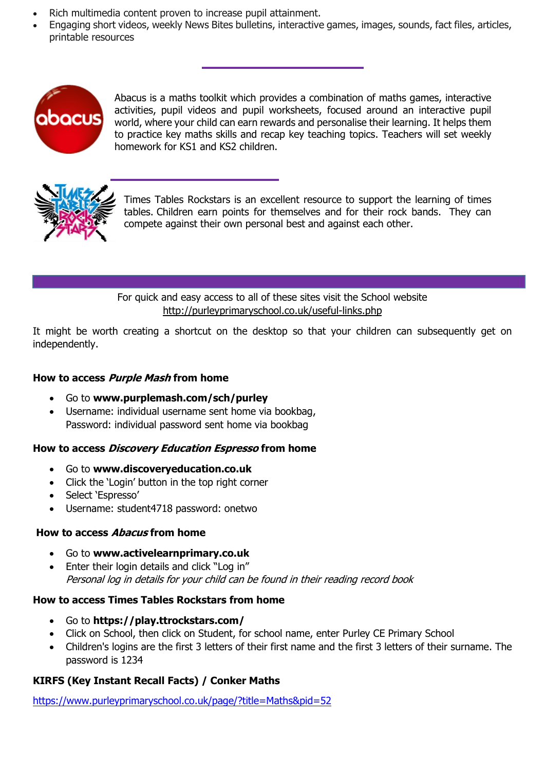- Rich multimedia content proven to increase pupil attainment.
- Engaging short videos, weekly News Bites bulletins, interactive games, images, sounds, fact files, articles, printable resources



Abacus is a maths toolkit which provides a combination of maths games, interactive activities, pupil videos and pupil worksheets, focused around an interactive pupil world, where your child can earn rewards and personalise their learning. It helps them to practice key maths skills and recap key teaching topics. Teachers will set weekly homework for KS1 and KS2 children.



Times Tables Rockstars is an excellent resource to support the learning of times tables. Children earn points for themselves and for their rock bands. They can compete against their own personal best and against each other.

For quick and easy access to all of these sites visit the School website <http://purleyprimaryschool.co.uk/useful-links.php>

It might be worth creating a shortcut on the desktop so that your children can subsequently get on independently.

#### **How to access Purple Mash from home**

- Go to **[www.purplemash.com/sch/purley](http://www.purplemash.com/sch/purley)**
- Username: individual username sent home via bookbag, Password: individual password sent home via bookbag

### **How to access Discovery Education Espresso from home**

- Go to **[www.discoveryeducation.co.uk](http://www.discoveryeducation.co.uk/)**
- Click the 'Login' button in the top right corner
- Select 'Espresso'
- Username: student4718 password: onetwo

#### **How to access Abacus from home**

- Go to **[www.activelearnprimary.co.uk](http://www.activelearnprimary.co.uk/)**
- Enter their login details and click "Log in" Personal log in details for your child can be found in their reading record book

### **How to access Times Tables Rockstars from home**

- Go to **<https://play.ttrockstars.com/>**
- Click on School, then click on Student, for school name, enter Purley CE Primary School
- Children's logins are the first 3 letters of their first name and the first 3 letters of their surname. The password is 1234

## **KIRFS (Key Instant Recall Facts) / Conker Maths**

<https://www.purleyprimaryschool.co.uk/page/?title=Maths&pid=52>